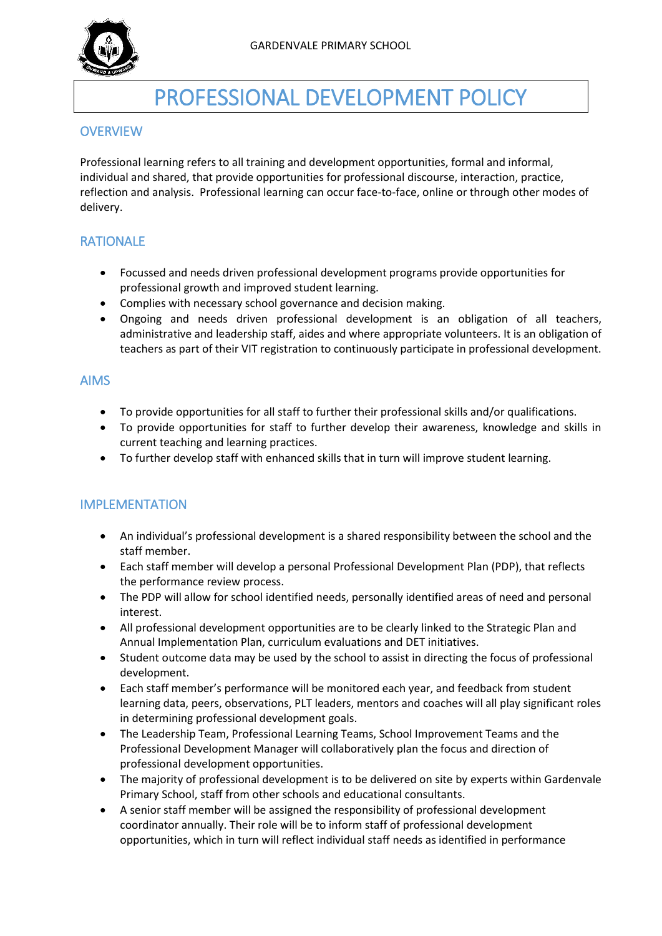

# PROFESSIONAL DEVELOPMENT POLICY

## **OVERVIEW**

Professional learning refers to all training and development opportunities, formal and informal, individual and shared, that provide opportunities for professional discourse, interaction, practice, reflection and analysis. Professional learning can occur face-to-face, online or through other modes of delivery.

# RATIONALE

- Focussed and needs driven professional development programs provide opportunities for professional growth and improved student learning.
- Complies with necessary school governance and decision making.
- Ongoing and needs driven professional development is an obligation of all teachers, administrative and leadership staff, aides and where appropriate volunteers. It is an obligation of teachers as part of their VIT registration to continuously participate in professional development.

#### AIMS

- To provide opportunities for all staff to further their professional skills and/or qualifications.
- To provide opportunities for staff to further develop their awareness, knowledge and skills in current teaching and learning practices.
- To further develop staff with enhanced skills that in turn will improve student learning.

## IMPLEMENTATION

- An individual's professional development is a shared responsibility between the school and the staff member.
- Each staff member will develop a personal Professional Development Plan (PDP), that reflects the performance review process.
- The PDP will allow for school identified needs, personally identified areas of need and personal interest.
- All professional development opportunities are to be clearly linked to the Strategic Plan and Annual Implementation Plan, curriculum evaluations and DET initiatives.
- Student outcome data may be used by the school to assist in directing the focus of professional development.
- Each staff member's performance will be monitored each year, and feedback from student learning data, peers, observations, PLT leaders, mentors and coaches will all play significant roles in determining professional development goals.
- The Leadership Team, Professional Learning Teams, School Improvement Teams and the Professional Development Manager will collaboratively plan the focus and direction of professional development opportunities.
- The majority of professional development is to be delivered on site by experts within Gardenvale Primary School, staff from other schools and educational consultants.
- A senior staff member will be assigned the responsibility of professional development coordinator annually. Their role will be to inform staff of professional development opportunities, which in turn will reflect individual staff needs as identified in performance